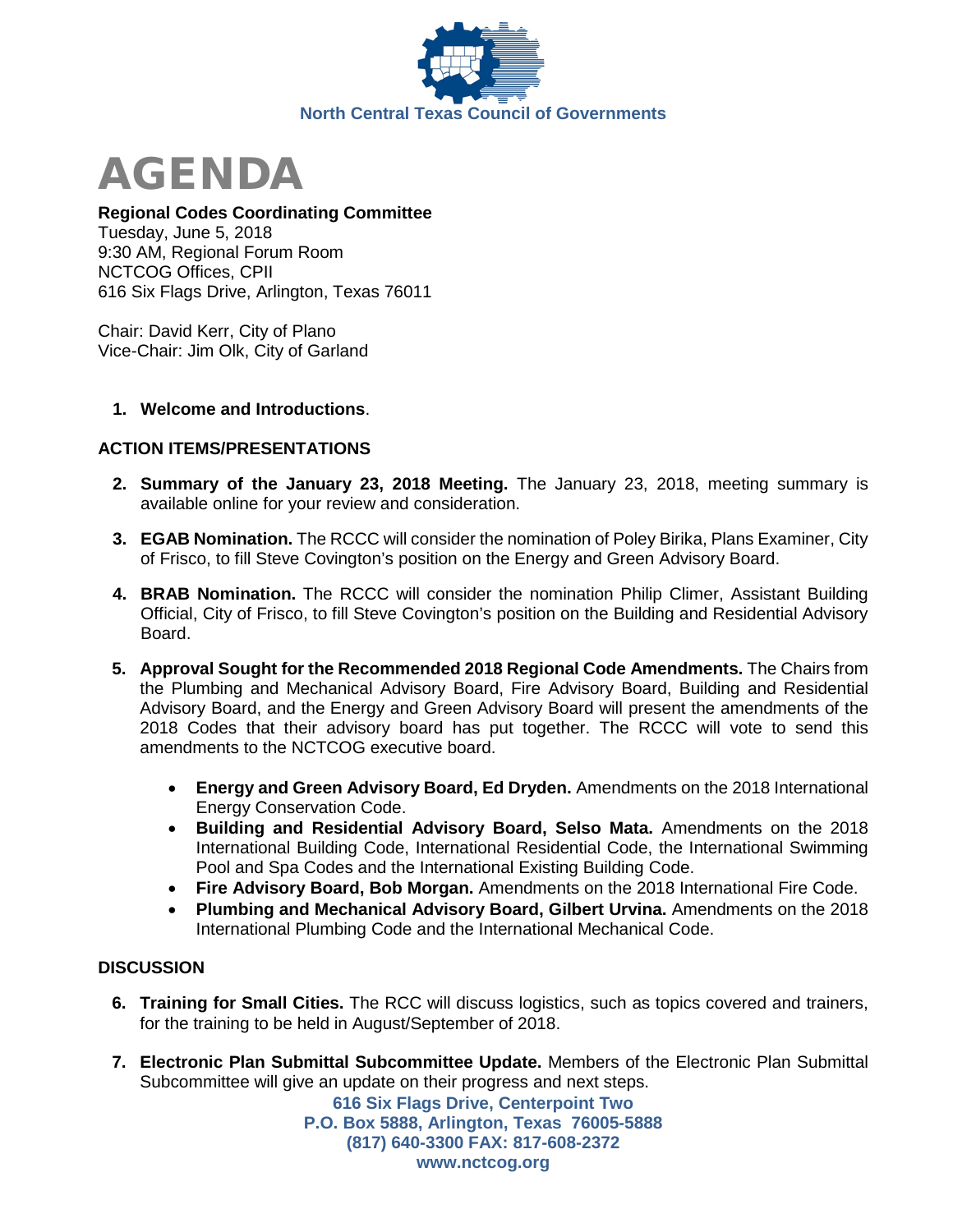



# **Regional Codes Coordinating Committee**

Tuesday, June 5, 2018 9:30 AM, Regional Forum Room NCTCOG Offices, CPII 616 Six Flags Drive, Arlington, Texas 76011

Chair: David Kerr, City of Plano Vice-Chair: Jim Olk, City of Garland

#### **1. Welcome and Introductions**.

# **ACTION ITEMS/PRESENTATIONS**

- **2. Summary of the January 23, 2018 Meeting.** The January 23, 2018, meeting summary is available online for your review and consideration.
- **3. EGAB Nomination.** The RCCC will consider the nomination of Poley Birika, Plans Examiner, City of Frisco, to fill Steve Covington's position on the Energy and Green Advisory Board.
- **4. BRAB Nomination.** The RCCC will consider the nomination Philip Climer, Assistant Building Official, City of Frisco, to fill Steve Covington's position on the Building and Residential Advisory Board.
- **5. Approval Sought for the Recommended 2018 Regional Code Amendments.** The Chairs from the Plumbing and Mechanical Advisory Board, Fire Advisory Board, Building and Residential Advisory Board, and the Energy and Green Advisory Board will present the amendments of the 2018 Codes that their advisory board has put together. The RCCC will vote to send this amendments to the NCTCOG executive board.
	- **Energy and Green Advisory Board, Ed Dryden.** Amendments on the 2018 International Energy Conservation Code.
	- **Building and Residential Advisory Board, Selso Mata.** Amendments on the 2018 International Building Code, International Residential Code, the International Swimming Pool and Spa Codes and the International Existing Building Code.
	- **Fire Advisory Board, Bob Morgan.** Amendments on the 2018 International Fire Code.
	- **Plumbing and Mechanical Advisory Board, Gilbert Urvina.** Amendments on the 2018 International Plumbing Code and the International Mechanical Code.

# **DISCUSSION**

- **6. Training for Small Cities.** The RCC will discuss logistics, such as topics covered and trainers, for the training to be held in August/September of 2018.
- **7. Electronic Plan Submittal Subcommittee Update.** Members of the Electronic Plan Submittal Subcommittee will give an update on their progress and next steps.

**616 Six Flags Drive, Centerpoint Two P.O. Box 5888, Arlington, Texas 76005-5888 (817) 640-3300 FAX: 817-608-2372 www.nctcog.org**